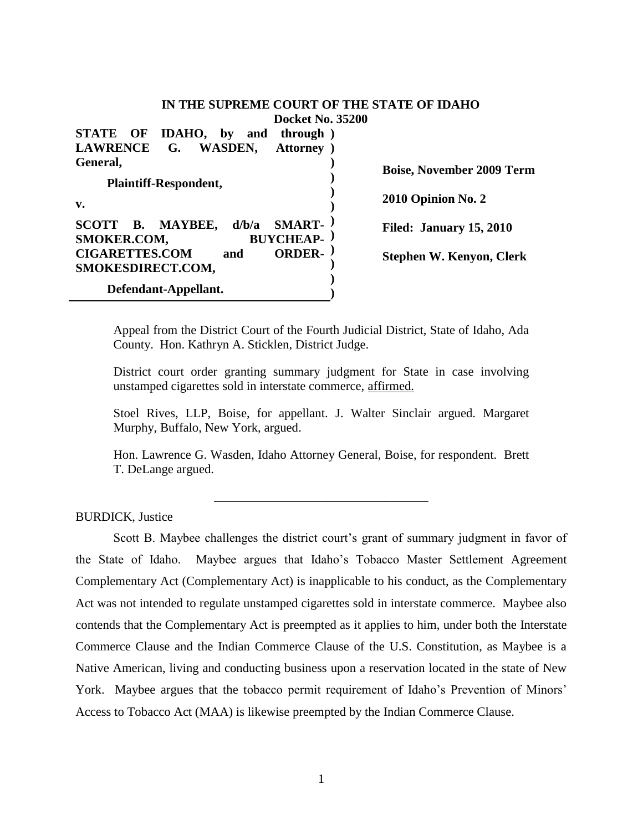## **IN THE SUPREME COURT OF THE STATE OF IDAHO Docket No. 35200**

**STATE OF IDAHO, by and through ) LAWRENCE G. WASDEN, General, Plaintiff-Respondent, v. SCOTT B. MAYBEE, d/b/a SMART-**SMOKER.COM, BUYCHEAP-**CIGARETTES.COM and ORDER-SMOKESDIRECT.COM, Defendant-Appellant. ) ) ) ) ) ) ) ) ) ) ) Boise, November 2009 Term 2010 Opinion No. 2 Filed: January 15, 2010 Stephen W. Kenyon, Clerk**

Appeal from the District Court of the Fourth Judicial District, State of Idaho, Ada County. Hon. Kathryn A. Sticklen, District Judge.

District court order granting summary judgment for State in case involving unstamped cigarettes sold in interstate commerce, affirmed.

Stoel Rives, LLP, Boise, for appellant. J. Walter Sinclair argued. Margaret Murphy, Buffalo, New York, argued.

Hon. Lawrence G. Wasden, Idaho Attorney General, Boise, for respondent. Brett T. DeLange argued.

\_\_\_\_\_\_\_\_\_\_\_\_\_\_\_\_\_\_\_\_\_\_\_\_\_\_\_\_\_\_\_\_\_\_

#### BURDICK, Justice

Scott B. Maybee challenges the district court's grant of summary judgment in favor of the State of Idaho. Maybee argues that Idaho"s Tobacco Master Settlement Agreement Complementary Act (Complementary Act) is inapplicable to his conduct, as the Complementary Act was not intended to regulate unstamped cigarettes sold in interstate commerce. Maybee also contends that the Complementary Act is preempted as it applies to him, under both the Interstate Commerce Clause and the Indian Commerce Clause of the U.S. Constitution, as Maybee is a Native American, living and conducting business upon a reservation located in the state of New York. Maybee argues that the tobacco permit requirement of Idaho"s Prevention of Minors" Access to Tobacco Act (MAA) is likewise preempted by the Indian Commerce Clause.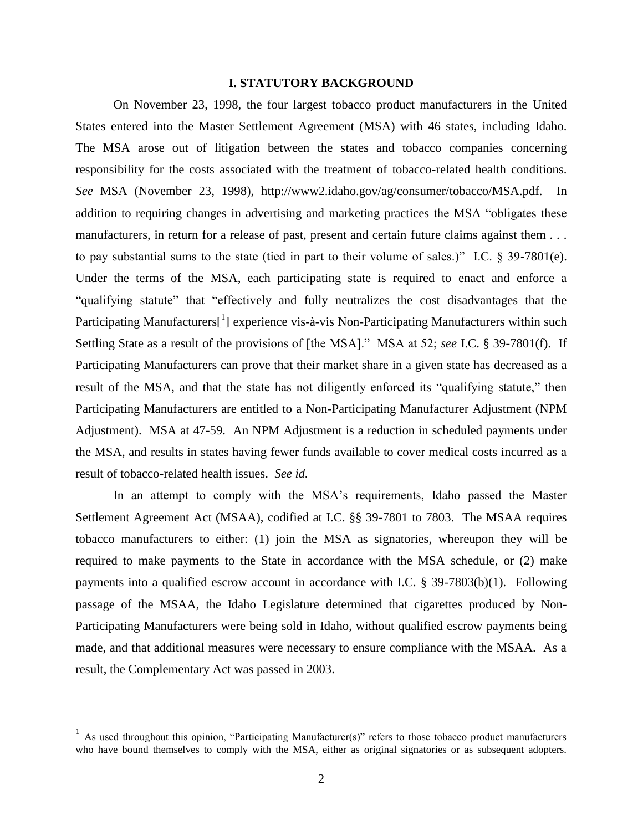#### **I. STATUTORY BACKGROUND**

On November 23, 1998, the four largest tobacco product manufacturers in the United States entered into the Master Settlement Agreement (MSA) with 46 states, including Idaho. The MSA arose out of litigation between the states and tobacco companies concerning responsibility for the costs associated with the treatment of tobacco-related health conditions. *See* MSA (November 23, 1998), http://www2.idaho.gov/ag/consumer/tobacco/MSA.pdf. In addition to requiring changes in advertising and marketing practices the MSA "obligates these manufacturers, in return for a release of past, present and certain future claims against them . . . to pay substantial sums to the state (tied in part to their volume of sales.)" I.C. § 39-7801(e). Under the terms of the MSA, each participating state is required to enact and enforce a "qualifying statute" that "effectively and fully neutralizes the cost disadvantages that the Participating Manufacturers<sup>[1</sup>] experience vis-à-vis Non-Participating Manufacturers within such Settling State as a result of the provisions of [the MSA]." MSA at 52; *see* I.C. § 39-7801(f). If Participating Manufacturers can prove that their market share in a given state has decreased as a result of the MSA, and that the state has not diligently enforced its "qualifying statute," then Participating Manufacturers are entitled to a Non-Participating Manufacturer Adjustment (NPM Adjustment). MSA at 47-59. An NPM Adjustment is a reduction in scheduled payments under the MSA, and results in states having fewer funds available to cover medical costs incurred as a result of tobacco-related health issues. *See id.*

In an attempt to comply with the MSA's requirements, Idaho passed the Master Settlement Agreement Act (MSAA), codified at I.C. §§ 39-7801 to 7803. The MSAA requires tobacco manufacturers to either: (1) join the MSA as signatories, whereupon they will be required to make payments to the State in accordance with the MSA schedule, or (2) make payments into a qualified escrow account in accordance with I.C. § 39-7803(b)(1). Following passage of the MSAA, the Idaho Legislature determined that cigarettes produced by Non-Participating Manufacturers were being sold in Idaho, without qualified escrow payments being made, and that additional measures were necessary to ensure compliance with the MSAA. As a result, the Complementary Act was passed in 2003.

<sup>&</sup>lt;sup>1</sup> As used throughout this opinion, "Participating Manufacturer(s)" refers to those tobacco product manufacturers who have bound themselves to comply with the MSA, either as original signatories or as subsequent adopters.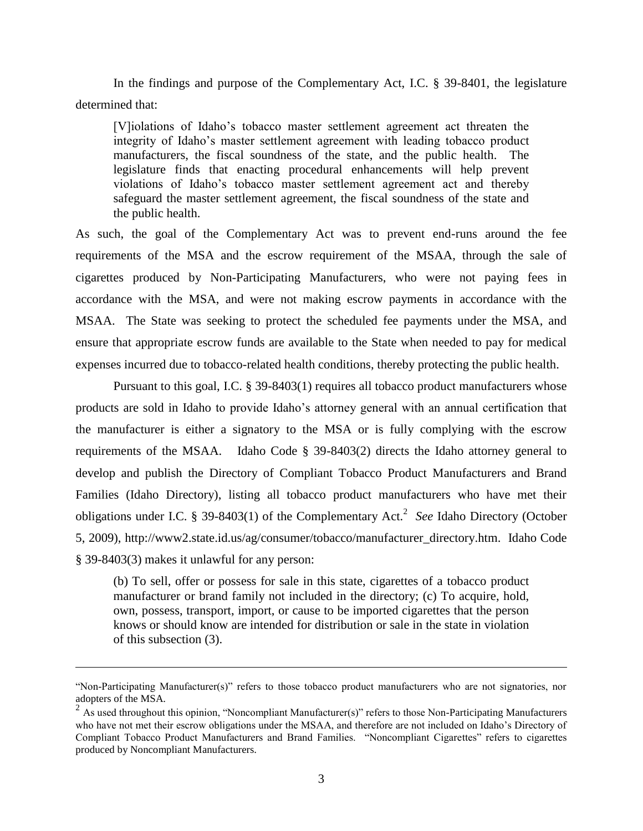In the findings and purpose of the Complementary Act, I.C. § 39-8401, the legislature determined that:

[V]iolations of Idaho"s tobacco master settlement agreement act threaten the integrity of Idaho"s master settlement agreement with leading tobacco product manufacturers, the fiscal soundness of the state, and the public health. The legislature finds that enacting procedural enhancements will help prevent violations of Idaho"s tobacco master settlement agreement act and thereby safeguard the master settlement agreement, the fiscal soundness of the state and the public health.

As such, the goal of the Complementary Act was to prevent end-runs around the fee requirements of the MSA and the escrow requirement of the MSAA, through the sale of cigarettes produced by Non-Participating Manufacturers, who were not paying fees in accordance with the MSA, and were not making escrow payments in accordance with the MSAA. The State was seeking to protect the scheduled fee payments under the MSA, and ensure that appropriate escrow funds are available to the State when needed to pay for medical expenses incurred due to tobacco-related health conditions, thereby protecting the public health.

Pursuant to this goal, I.C. § 39-8403(1) requires all tobacco product manufacturers whose products are sold in Idaho to provide Idaho"s attorney general with an annual certification that the manufacturer is either a signatory to the MSA or is fully complying with the escrow requirements of the MSAA. Idaho Code § 39-8403(2) directs the Idaho attorney general to develop and publish the Directory of Compliant Tobacco Product Manufacturers and Brand Families (Idaho Directory), listing all tobacco product manufacturers who have met their obligations under I.C. § 39-8403(1) of the Complementary Act.<sup>2</sup> See Idaho Directory (October 5, 2009), http://www2.state.id.us/ag/consumer/tobacco/manufacturer\_directory.htm. Idaho Code § 39-8403(3) makes it unlawful for any person:

(b) To sell, offer or possess for sale in this state, cigarettes of a tobacco product manufacturer or brand family not included in the directory; (c) To acquire, hold, own, possess, transport, import, or cause to be imported cigarettes that the person knows or should know are intended for distribution or sale in the state in violation of this subsection (3).

<sup>&</sup>quot;Non-Participating Manufacturer(s)" refers to those tobacco product manufacturers who are not signatories, nor adopters of the MSA.

 $2\text{ A}$ s used throughout this opinion, "Noncompliant Manufacturer(s)" refers to those Non-Participating Manufacturers who have not met their escrow obligations under the MSAA, and therefore are not included on Idaho"s Directory of Compliant Tobacco Product Manufacturers and Brand Families. "Noncompliant Cigarettes" refers to cigarettes produced by Noncompliant Manufacturers.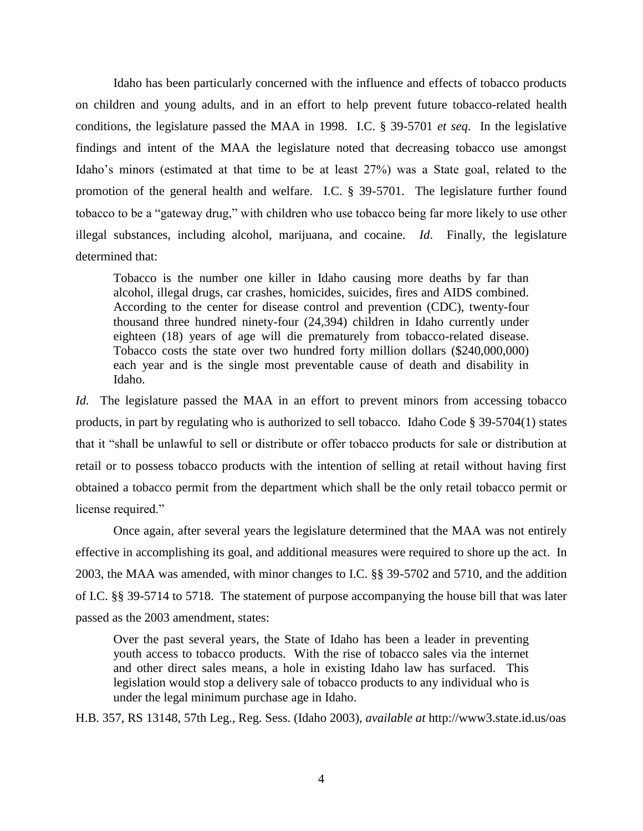Idaho has been particularly concerned with the influence and effects of tobacco products on children and young adults, and in an effort to help prevent future tobacco-related health conditions, the legislature passed the MAA in 1998. I.C. § 39-5701 *et seq*. In the legislative findings and intent of the MAA the legislature noted that decreasing tobacco use amongst Idaho"s minors (estimated at that time to be at least 27%) was a State goal, related to the promotion of the general health and welfare. I.C. § 39-5701. The legislature further found tobacco to be a "gateway drug," with children who use tobacco being far more likely to use other illegal substances, including alcohol, marijuana, and cocaine. *Id*. Finally, the legislature determined that:

Tobacco is the number one killer in Idaho causing more deaths by far than alcohol, illegal drugs, car crashes, homicides, suicides, fires and AIDS combined. According to the center for disease control and prevention (CDC), twenty-four thousand three hundred ninety-four (24,394) children in Idaho currently under eighteen (18) years of age will die prematurely from tobacco-related disease. Tobacco costs the state over two hundred forty million dollars (\$240,000,000) each year and is the single most preventable cause of death and disability in Idaho.

*Id.* The legislature passed the MAA in an effort to prevent minors from accessing tobacco products, in part by regulating who is authorized to sell tobacco. Idaho Code § 39-5704(1) states that it "shall be unlawful to sell or distribute or offer tobacco products for sale or distribution at retail or to possess tobacco products with the intention of selling at retail without having first obtained a tobacco permit from the department which shall be the only retail tobacco permit or license required."

Once again, after several years the legislature determined that the MAA was not entirely effective in accomplishing its goal, and additional measures were required to shore up the act. In 2003, the MAA was amended, with minor changes to I.C. §§ 39-5702 and 5710, and the addition of I.C. §§ 39-5714 to 5718. The statement of purpose accompanying the house bill that was later passed as the 2003 amendment, states:

Over the past several years, the State of Idaho has been a leader in preventing youth access to tobacco products. With the rise of tobacco sales via the internet and other direct sales means, a hole in existing Idaho law has surfaced. This legislation would stop a delivery sale of tobacco products to any individual who is under the legal minimum purchase age in Idaho.

H.B. 357, RS 13148, 57th Leg., Reg. Sess. (Idaho 2003), *available at* http://www3.state.id.us/oas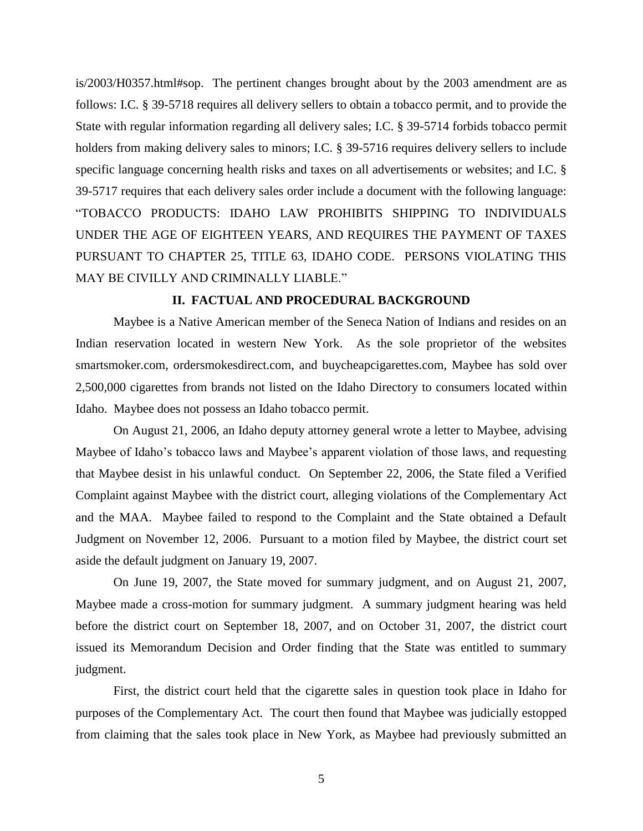is/2003/H0357.html#sop. The pertinent changes brought about by the 2003 amendment are as follows: I.C. § 39-5718 requires all delivery sellers to obtain a tobacco permit, and to provide the State with regular information regarding all delivery sales; I.C. § 39-5714 forbids tobacco permit holders from making delivery sales to minors; I.C. § 39-5716 requires delivery sellers to include specific language concerning health risks and taxes on all advertisements or websites; and I.C. § 39-5717 requires that each delivery sales order include a document with the following language: "TOBACCO PRODUCTS: IDAHO LAW PROHIBITS SHIPPING TO INDIVIDUALS UNDER THE AGE OF EIGHTEEN YEARS, AND REQUIRES THE PAYMENT OF TAXES PURSUANT TO CHAPTER 25, TITLE 63, IDAHO CODE. PERSONS VIOLATING THIS MAY BE CIVILLY AND CRIMINALLY LIABLE."

## **II. FACTUAL AND PROCEDURAL BACKGROUND**

Maybee is a Native American member of the Seneca Nation of Indians and resides on an Indian reservation located in western New York. As the sole proprietor of the websites smartsmoker.com, ordersmokesdirect.com, and buycheapcigarettes.com, Maybee has sold over 2,500,000 cigarettes from brands not listed on the Idaho Directory to consumers located within Idaho. Maybee does not possess an Idaho tobacco permit.

On August 21, 2006, an Idaho deputy attorney general wrote a letter to Maybee, advising Maybee of Idaho's tobacco laws and Maybee's apparent violation of those laws, and requesting that Maybee desist in his unlawful conduct. On September 22, 2006, the State filed a Verified Complaint against Maybee with the district court, alleging violations of the Complementary Act and the MAA. Maybee failed to respond to the Complaint and the State obtained a Default Judgment on November 12, 2006. Pursuant to a motion filed by Maybee, the district court set aside the default judgment on January 19, 2007.

On June 19, 2007, the State moved for summary judgment, and on August 21, 2007, Maybee made a cross-motion for summary judgment. A summary judgment hearing was held before the district court on September 18, 2007, and on October 31, 2007, the district court issued its Memorandum Decision and Order finding that the State was entitled to summary judgment.

First, the district court held that the cigarette sales in question took place in Idaho for purposes of the Complementary Act. The court then found that Maybee was judicially estopped from claiming that the sales took place in New York, as Maybee had previously submitted an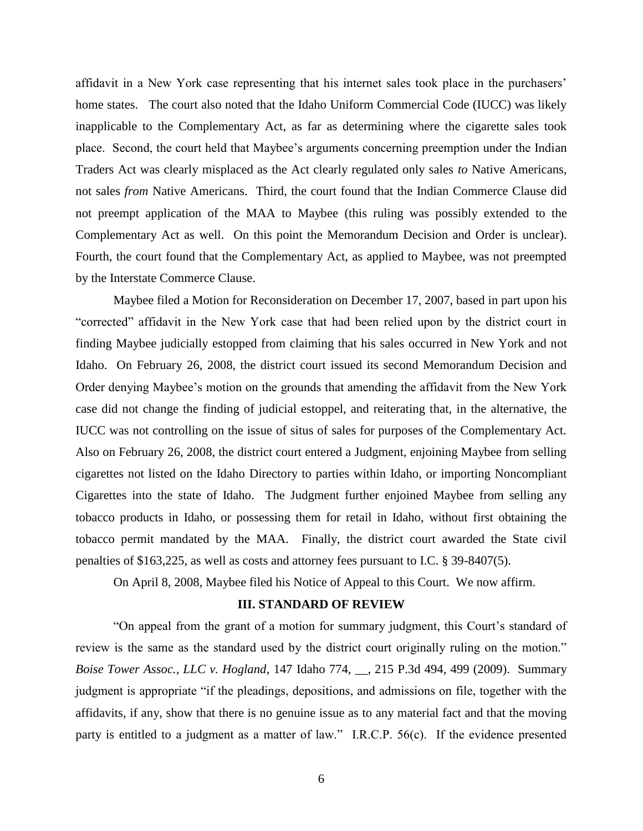affidavit in a New York case representing that his internet sales took place in the purchasers" home states. The court also noted that the Idaho Uniform Commercial Code (IUCC) was likely inapplicable to the Complementary Act, as far as determining where the cigarette sales took place. Second, the court held that Maybee"s arguments concerning preemption under the Indian Traders Act was clearly misplaced as the Act clearly regulated only sales *to* Native Americans, not sales *from* Native Americans. Third, the court found that the Indian Commerce Clause did not preempt application of the MAA to Maybee (this ruling was possibly extended to the Complementary Act as well. On this point the Memorandum Decision and Order is unclear). Fourth, the court found that the Complementary Act, as applied to Maybee, was not preempted by the Interstate Commerce Clause.

Maybee filed a Motion for Reconsideration on December 17, 2007, based in part upon his "corrected" affidavit in the New York case that had been relied upon by the district court in finding Maybee judicially estopped from claiming that his sales occurred in New York and not Idaho. On February 26, 2008, the district court issued its second Memorandum Decision and Order denying Maybee"s motion on the grounds that amending the affidavit from the New York case did not change the finding of judicial estoppel, and reiterating that, in the alternative, the IUCC was not controlling on the issue of situs of sales for purposes of the Complementary Act. Also on February 26, 2008, the district court entered a Judgment, enjoining Maybee from selling cigarettes not listed on the Idaho Directory to parties within Idaho, or importing Noncompliant Cigarettes into the state of Idaho. The Judgment further enjoined Maybee from selling any tobacco products in Idaho, or possessing them for retail in Idaho, without first obtaining the tobacco permit mandated by the MAA. Finally, the district court awarded the State civil penalties of \$163,225, as well as costs and attorney fees pursuant to I.C. § 39-8407(5).

On April 8, 2008, Maybee filed his Notice of Appeal to this Court. We now affirm.

#### **III. STANDARD OF REVIEW**

"On appeal from the grant of a motion for summary judgment, this Court"s standard of review is the same as the standard used by the district court originally ruling on the motion." *Boise Tower Assoc., LLC v. Hogland,* 147 Idaho 774, \_\_, 215 P.3d 494, 499 (2009). Summary judgment is appropriate "if the pleadings, depositions, and admissions on file, together with the affidavits, if any, show that there is no genuine issue as to any material fact and that the moving party is entitled to a judgment as a matter of law." I.R.C.P. 56(c). If the evidence presented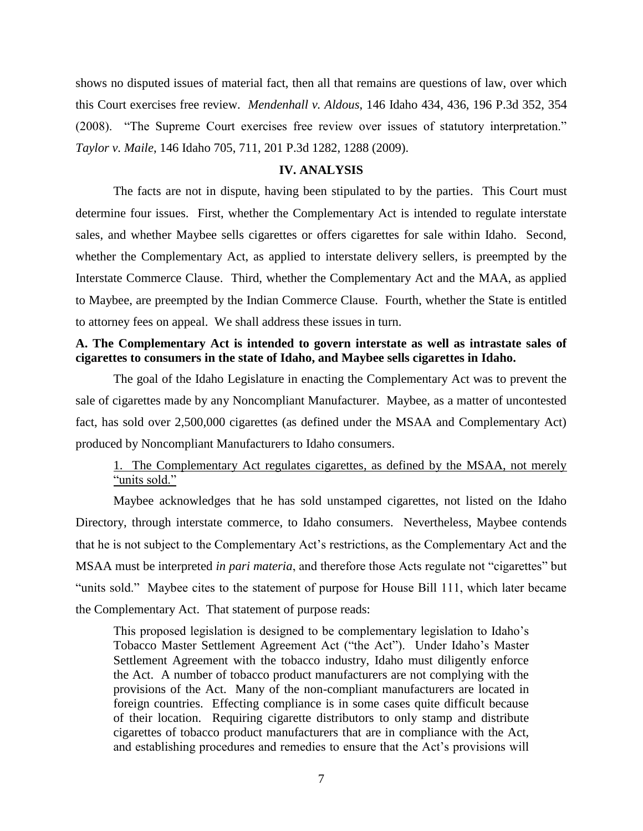shows no disputed issues of material fact, then all that remains are questions of law, over which this Court exercises free review. *Mendenhall v. Aldous*, 146 Idaho 434, 436, 196 P.3d 352, 354 (2008). "The Supreme Court exercises free review over issues of statutory interpretation." *Taylor v. Maile*, 146 Idaho 705, 711, 201 P.3d 1282, 1288 (2009).

### **IV. ANALYSIS**

The facts are not in dispute, having been stipulated to by the parties. This Court must determine four issues. First, whether the Complementary Act is intended to regulate interstate sales, and whether Maybee sells cigarettes or offers cigarettes for sale within Idaho. Second, whether the Complementary Act, as applied to interstate delivery sellers, is preempted by the Interstate Commerce Clause. Third, whether the Complementary Act and the MAA, as applied to Maybee, are preempted by the Indian Commerce Clause. Fourth, whether the State is entitled to attorney fees on appeal. We shall address these issues in turn.

# **A. The Complementary Act is intended to govern interstate as well as intrastate sales of cigarettes to consumers in the state of Idaho, and Maybee sells cigarettes in Idaho.**

The goal of the Idaho Legislature in enacting the Complementary Act was to prevent the sale of cigarettes made by any Noncompliant Manufacturer. Maybee, as a matter of uncontested fact, has sold over 2,500,000 cigarettes (as defined under the MSAA and Complementary Act) produced by Noncompliant Manufacturers to Idaho consumers.

# 1. The Complementary Act regulates cigarettes, as defined by the MSAA, not merely "units sold."

Maybee acknowledges that he has sold unstamped cigarettes, not listed on the Idaho Directory, through interstate commerce, to Idaho consumers. Nevertheless, Maybee contends that he is not subject to the Complementary Act"s restrictions, as the Complementary Act and the MSAA must be interpreted *in pari materia*, and therefore those Acts regulate not "cigarettes" but "units sold." Maybee cites to the statement of purpose for House Bill 111, which later became the Complementary Act. That statement of purpose reads:

This proposed legislation is designed to be complementary legislation to Idaho"s Tobacco Master Settlement Agreement Act ("the Act"). Under Idaho"s Master Settlement Agreement with the tobacco industry, Idaho must diligently enforce the Act. A number of tobacco product manufacturers are not complying with the provisions of the Act. Many of the non-compliant manufacturers are located in foreign countries. Effecting compliance is in some cases quite difficult because of their location. Requiring cigarette distributors to only stamp and distribute cigarettes of tobacco product manufacturers that are in compliance with the Act, and establishing procedures and remedies to ensure that the Act's provisions will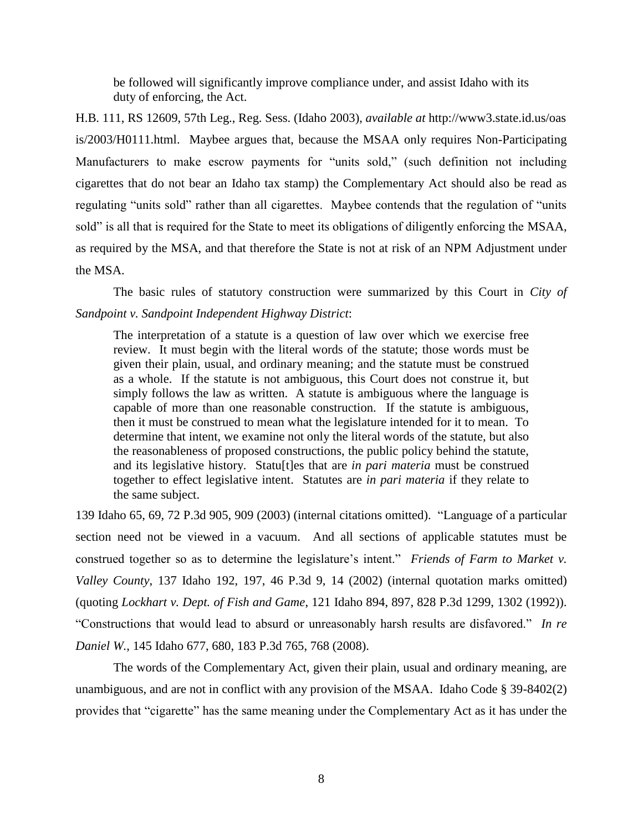be followed will significantly improve compliance under, and assist Idaho with its duty of enforcing, the Act.

H.B. 111, RS 12609, 57th Leg., Reg. Sess. (Idaho 2003), *available at* http://www3.state.id.us/oas is/2003/H0111.html. Maybee argues that, because the MSAA only requires Non-Participating Manufacturers to make escrow payments for "units sold," (such definition not including cigarettes that do not bear an Idaho tax stamp) the Complementary Act should also be read as regulating "units sold" rather than all cigarettes. Maybee contends that the regulation of "units sold" is all that is required for the State to meet its obligations of diligently enforcing the MSAA, as required by the MSA, and that therefore the State is not at risk of an NPM Adjustment under the MSA.

The basic rules of statutory construction were summarized by this Court in *City of Sandpoint v. Sandpoint Independent Highway District*:

The interpretation of a statute is a question of law over which we exercise free review. It must begin with the literal words of the statute; those words must be given their plain, usual, and ordinary meaning; and the statute must be construed as a whole. If the statute is not ambiguous, this Court does not construe it, but simply follows the law as written. A statute is ambiguous where the language is capable of more than one reasonable construction. If the statute is ambiguous, then it must be construed to mean what the legislature intended for it to mean. To determine that intent, we examine not only the literal words of the statute, but also the reasonableness of proposed constructions, the public policy behind the statute, and its legislative history. Statu[t]es that are *in pari materia* must be construed together to effect legislative intent. Statutes are *in pari materia* if they relate to the same subject.

139 Idaho 65, 69, 72 P.3d 905, 909 (2003) (internal citations omitted). "Language of a particular section need not be viewed in a vacuum. And all sections of applicable statutes must be construed together so as to determine the legislature's intent." *Friends of Farm to Market v. Valley County*, 137 Idaho 192, 197, 46 P.3d 9, 14 (2002) (internal quotation marks omitted) (quoting *Lockhart v. Dept. of Fish and Game*, 121 Idaho 894, 897, 828 P.3d 1299, 1302 (1992)). "Constructions that would lead to absurd or unreasonably harsh results are disfavored." *In re Daniel W.*, 145 Idaho 677, 680, 183 P.3d 765, 768 (2008).

The words of the Complementary Act, given their plain, usual and ordinary meaning, are unambiguous, and are not in conflict with any provision of the MSAA. Idaho Code § 39-8402(2) provides that "cigarette" has the same meaning under the Complementary Act as it has under the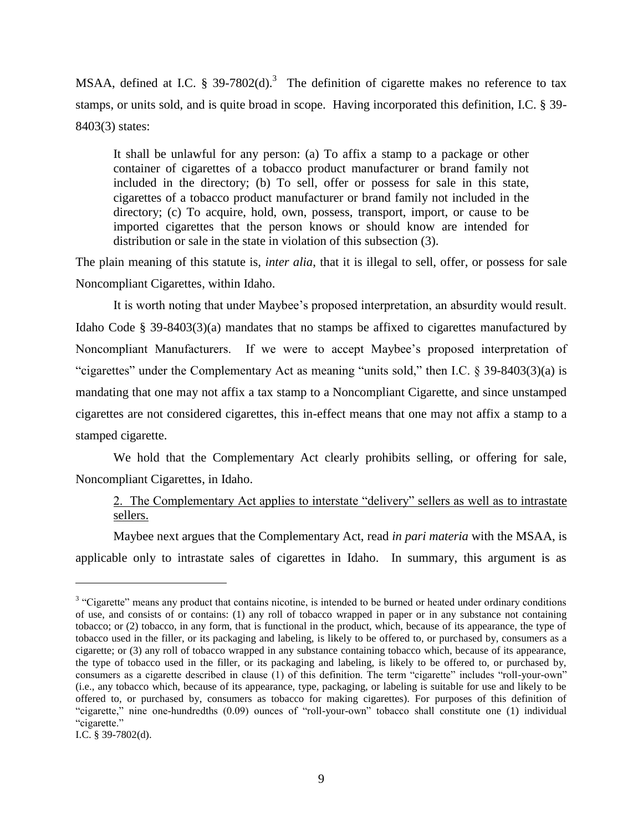MSAA, defined at I.C. § 39-7802(d).<sup>3</sup> The definition of cigarette makes no reference to tax stamps, or units sold, and is quite broad in scope. Having incorporated this definition, I.C. § 39- 8403(3) states:

It shall be unlawful for any person: (a) To affix a stamp to a package or other container of cigarettes of a tobacco product manufacturer or brand family not included in the directory; (b) To sell, offer or possess for sale in this state, cigarettes of a tobacco product manufacturer or brand family not included in the directory; (c) To acquire, hold, own, possess, transport, import, or cause to be imported cigarettes that the person knows or should know are intended for distribution or sale in the state in violation of this subsection (3).

The plain meaning of this statute is, *inter alia*, that it is illegal to sell, offer, or possess for sale Noncompliant Cigarettes, within Idaho.

It is worth noting that under Maybee"s proposed interpretation, an absurdity would result. Idaho Code § 39-8403(3)(a) mandates that no stamps be affixed to cigarettes manufactured by Noncompliant Manufacturers. If we were to accept Maybee"s proposed interpretation of "cigarettes" under the Complementary Act as meaning "units sold," then I.C. § 39-8403(3)(a) is mandating that one may not affix a tax stamp to a Noncompliant Cigarette, and since unstamped cigarettes are not considered cigarettes, this in-effect means that one may not affix a stamp to a stamped cigarette.

We hold that the Complementary Act clearly prohibits selling, or offering for sale, Noncompliant Cigarettes, in Idaho.

# 2. The Complementary Act applies to interstate "delivery" sellers as well as to intrastate sellers.

Maybee next argues that the Complementary Act, read *in pari materia* with the MSAA, is applicable only to intrastate sales of cigarettes in Idaho. In summary, this argument is as

<sup>&</sup>lt;sup>3</sup> "Cigarette" means any product that contains nicotine, is intended to be burned or heated under ordinary conditions of use, and consists of or contains: (1) any roll of tobacco wrapped in paper or in any substance not containing tobacco; or (2) tobacco, in any form, that is functional in the product, which, because of its appearance, the type of tobacco used in the filler, or its packaging and labeling, is likely to be offered to, or purchased by, consumers as a cigarette; or (3) any roll of tobacco wrapped in any substance containing tobacco which, because of its appearance, the type of tobacco used in the filler, or its packaging and labeling, is likely to be offered to, or purchased by, consumers as a cigarette described in clause (1) of this definition. The term "cigarette" includes "roll-your-own" (i.e., any tobacco which, because of its appearance, type, packaging, or labeling is suitable for use and likely to be offered to, or purchased by, consumers as tobacco for making cigarettes). For purposes of this definition of "cigarette," nine one-hundredths (0.09) ounces of "roll-your-own" tobacco shall constitute one (1) individual "cigarette."

I.C. § 39-7802(d).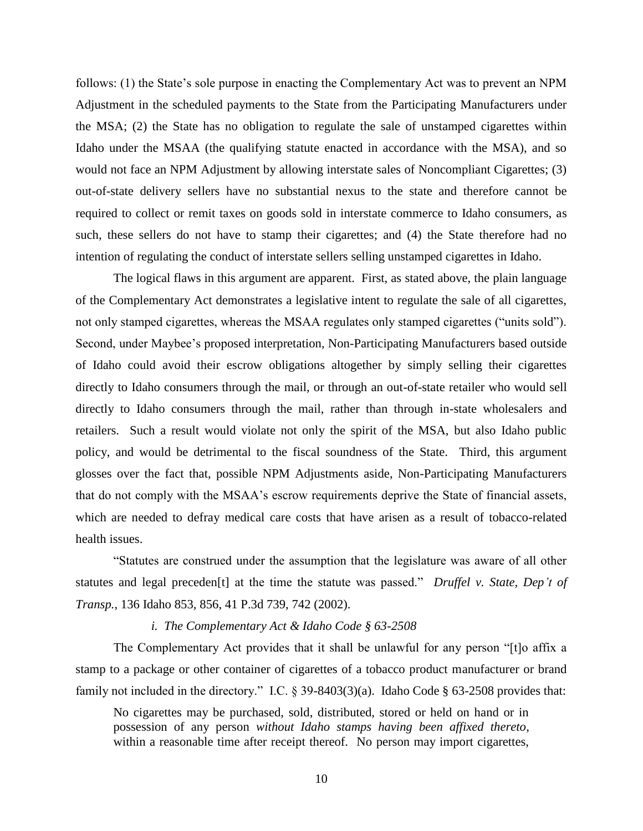follows: (1) the State's sole purpose in enacting the Complementary Act was to prevent an NPM Adjustment in the scheduled payments to the State from the Participating Manufacturers under the MSA; (2) the State has no obligation to regulate the sale of unstamped cigarettes within Idaho under the MSAA (the qualifying statute enacted in accordance with the MSA), and so would not face an NPM Adjustment by allowing interstate sales of Noncompliant Cigarettes; (3) out-of-state delivery sellers have no substantial nexus to the state and therefore cannot be required to collect or remit taxes on goods sold in interstate commerce to Idaho consumers, as such, these sellers do not have to stamp their cigarettes; and (4) the State therefore had no intention of regulating the conduct of interstate sellers selling unstamped cigarettes in Idaho.

The logical flaws in this argument are apparent. First, as stated above, the plain language of the Complementary Act demonstrates a legislative intent to regulate the sale of all cigarettes, not only stamped cigarettes, whereas the MSAA regulates only stamped cigarettes ("units sold"). Second, under Maybee's proposed interpretation, Non-Participating Manufacturers based outside of Idaho could avoid their escrow obligations altogether by simply selling their cigarettes directly to Idaho consumers through the mail, or through an out-of-state retailer who would sell directly to Idaho consumers through the mail, rather than through in-state wholesalers and retailers. Such a result would violate not only the spirit of the MSA, but also Idaho public policy, and would be detrimental to the fiscal soundness of the State. Third, this argument glosses over the fact that, possible NPM Adjustments aside, Non-Participating Manufacturers that do not comply with the MSAA"s escrow requirements deprive the State of financial assets, which are needed to defray medical care costs that have arisen as a result of tobacco-related health issues.

"Statutes are construed under the assumption that the legislature was aware of all other statutes and legal preceden[t] at the time the statute was passed." *Druffel v. State, Dep't of Transp.*, 136 Idaho 853, 856, 41 P.3d 739, 742 (2002).

### *i. The Complementary Act & Idaho Code § 63-2508*

The Complementary Act provides that it shall be unlawful for any person "[t]o affix a stamp to a package or other container of cigarettes of a tobacco product manufacturer or brand family not included in the directory." I.C.  $\S 39-8403(3)(a)$ . Idaho Code  $\S 63-2508$  provides that:

No cigarettes may be purchased, sold, distributed, stored or held on hand or in possession of any person *without Idaho stamps having been affixed thereto*, within a reasonable time after receipt thereof. No person may import cigarettes,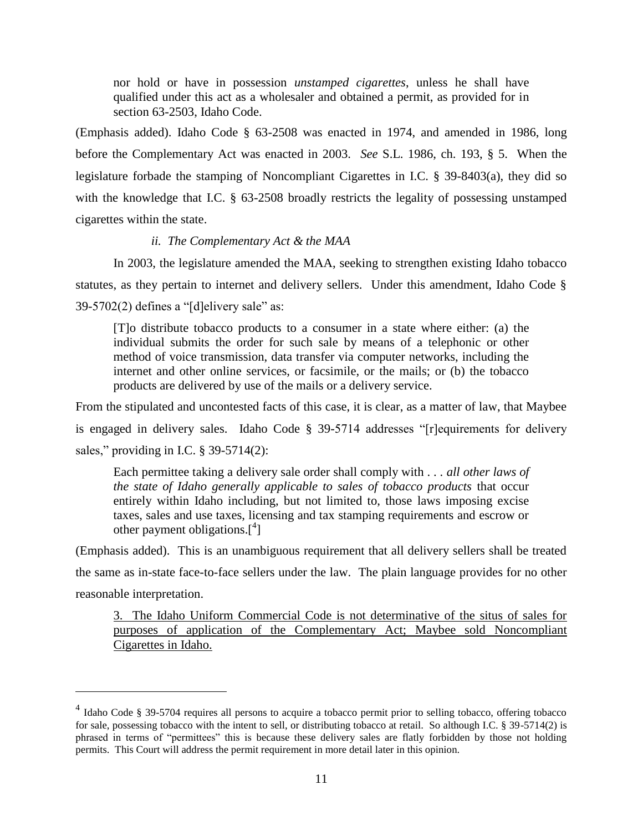nor hold or have in possession *unstamped cigarettes*, unless he shall have qualified under this act as a wholesaler and obtained a permit, as provided for in section 63-2503, Idaho Code.

(Emphasis added). Idaho Code § 63-2508 was enacted in 1974, and amended in 1986, long before the Complementary Act was enacted in 2003. *See* S.L. 1986, ch. 193, § 5. When the legislature forbade the stamping of Noncompliant Cigarettes in I.C. § 39-8403(a), they did so with the knowledge that I.C. § 63-2508 broadly restricts the legality of possessing unstamped cigarettes within the state.

### *ii. The Complementary Act & the MAA*

In 2003, the legislature amended the MAA, seeking to strengthen existing Idaho tobacco statutes, as they pertain to internet and delivery sellers. Under this amendment, Idaho Code §  $39-5702(2)$  defines a "[d]elivery sale" as:

[T]o distribute tobacco products to a consumer in a state where either: (a) the individual submits the order for such sale by means of a telephonic or other method of voice transmission, data transfer via computer networks, including the internet and other online services, or facsimile, or the mails; or (b) the tobacco products are delivered by use of the mails or a delivery service.

From the stipulated and uncontested facts of this case, it is clear, as a matter of law, that Maybee is engaged in delivery sales. Idaho Code § 39-5714 addresses "[r]equirements for delivery sales," providing in I.C. § 39-5714(2):

Each permittee taking a delivery sale order shall comply with . . . *all other laws of the state of Idaho generally applicable to sales of tobacco products* that occur entirely within Idaho including, but not limited to, those laws imposing excise taxes, sales and use taxes, licensing and tax stamping requirements and escrow or other payment obligations. $[$ <sup>4</sup>]

(Emphasis added). This is an unambiguous requirement that all delivery sellers shall be treated the same as in-state face-to-face sellers under the law. The plain language provides for no other reasonable interpretation.

3. The Idaho Uniform Commercial Code is not determinative of the situs of sales for purposes of application of the Complementary Act; Maybee sold Noncompliant Cigarettes in Idaho.

<sup>&</sup>lt;sup>4</sup> Idaho Code § 39-5704 requires all persons to acquire a tobacco permit prior to selling tobacco, offering tobacco for sale, possessing tobacco with the intent to sell, or distributing tobacco at retail. So although I.C. § 39-5714(2) is phrased in terms of "permittees" this is because these delivery sales are flatly forbidden by those not holding permits. This Court will address the permit requirement in more detail later in this opinion.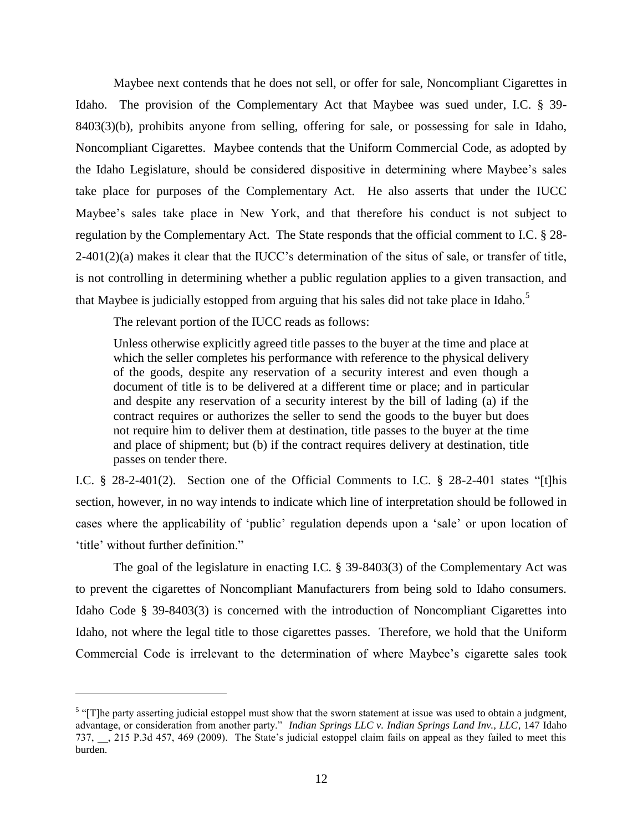Maybee next contends that he does not sell, or offer for sale, Noncompliant Cigarettes in Idaho. The provision of the Complementary Act that Maybee was sued under, I.C. § 39- 8403(3)(b), prohibits anyone from selling, offering for sale, or possessing for sale in Idaho, Noncompliant Cigarettes. Maybee contends that the Uniform Commercial Code, as adopted by the Idaho Legislature, should be considered dispositive in determining where Maybee"s sales take place for purposes of the Complementary Act. He also asserts that under the IUCC Maybee's sales take place in New York, and that therefore his conduct is not subject to regulation by the Complementary Act. The State responds that the official comment to I.C. § 28-  $2-401(2)(a)$  makes it clear that the IUCC's determination of the situs of sale, or transfer of title, is not controlling in determining whether a public regulation applies to a given transaction, and that Maybee is judicially estopped from arguing that his sales did not take place in Idaho.<sup>5</sup>

The relevant portion of the IUCC reads as follows:

 $\overline{a}$ 

Unless otherwise explicitly agreed title passes to the buyer at the time and place at which the seller completes his performance with reference to the physical delivery of the goods, despite any reservation of a security interest and even though a document of title is to be delivered at a different time or place; and in particular and despite any reservation of a security interest by the bill of lading (a) if the contract requires or authorizes the seller to send the goods to the buyer but does not require him to deliver them at destination, title passes to the buyer at the time and place of shipment; but (b) if the contract requires delivery at destination, title passes on tender there.

I.C. § 28-2-401(2). Section one of the Official Comments to I.C. § 28-2-401 states "[t]his section, however, in no way intends to indicate which line of interpretation should be followed in cases where the applicability of "public" regulation depends upon a "sale" or upon location of 'title' without further definition."

The goal of the legislature in enacting I.C. § 39-8403(3) of the Complementary Act was to prevent the cigarettes of Noncompliant Manufacturers from being sold to Idaho consumers. Idaho Code § 39-8403(3) is concerned with the introduction of Noncompliant Cigarettes into Idaho, not where the legal title to those cigarettes passes. Therefore, we hold that the Uniform Commercial Code is irrelevant to the determination of where Maybee"s cigarette sales took

 $<sup>5</sup>$  "[T]he party asserting judicial estoppel must show that the sworn statement at issue was used to obtain a judgment,</sup> advantage, or consideration from another party." *Indian Springs LLC v. Indian Springs Land Inv., LLC*, 147 Idaho 737, \_\_, 215 P.3d 457, 469 (2009). The State"s judicial estoppel claim fails on appeal as they failed to meet this burden.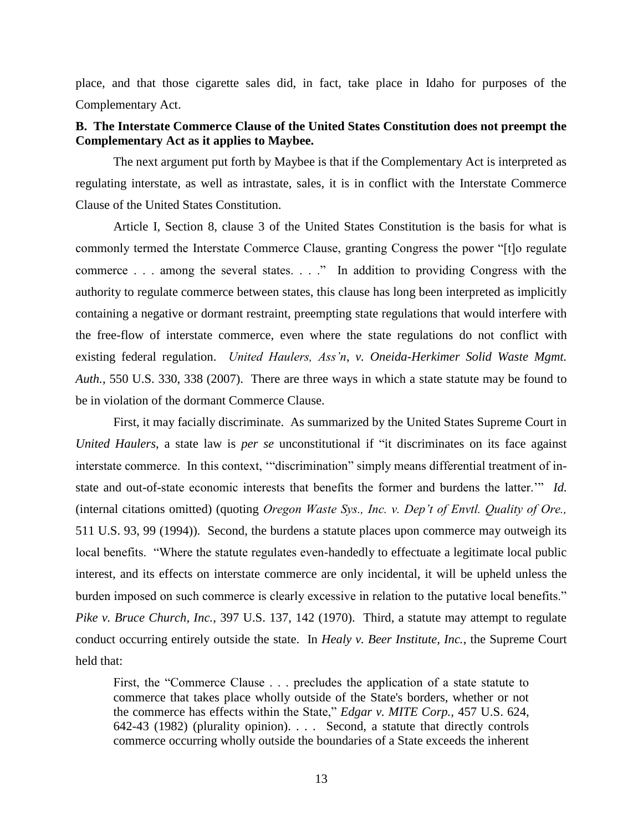place, and that those cigarette sales did, in fact, take place in Idaho for purposes of the Complementary Act.

# **B. The Interstate Commerce Clause of the United States Constitution does not preempt the Complementary Act as it applies to Maybee.**

The next argument put forth by Maybee is that if the Complementary Act is interpreted as regulating interstate, as well as intrastate, sales, it is in conflict with the Interstate Commerce Clause of the United States Constitution.

Article I, Section 8, clause 3 of the United States Constitution is the basis for what is commonly termed the Interstate Commerce Clause, granting Congress the power "[t]o regulate commerce . . . among the several states. . . ." In addition to providing Congress with the authority to regulate commerce between states, this clause has long been interpreted as implicitly containing a negative or dormant restraint, preempting state regulations that would interfere with the free-flow of interstate commerce, even where the state regulations do not conflict with existing federal regulation. *United Haulers, Ass'n*, *v. Oneida-Herkimer Solid Waste Mgmt. Auth.*, 550 U.S. 330, 338 (2007). There are three ways in which a state statute may be found to be in violation of the dormant Commerce Clause.

First, it may facially discriminate. As summarized by the United States Supreme Court in *United Haulers*, a state law is *per se* unconstitutional if "it discriminates on its face against interstate commerce. In this context, ""discrimination" simply means differential treatment of instate and out-of-state economic interests that benefits the former and burdens the latter."" *Id.* (internal citations omitted) (quoting *Oregon Waste Sys., Inc. v. Dep't of Envtl. Quality of Ore.,* 511 U.S. 93, 99 (1994)). Second, the burdens a statute places upon commerce may outweigh its local benefits. "Where the statute regulates even-handedly to effectuate a legitimate local public interest, and its effects on interstate commerce are only incidental, it will be upheld unless the burden imposed on such commerce is clearly excessive in relation to the putative local benefits." *Pike v. Bruce Church, Inc.*, 397 U.S. 137, 142 (1970). Third, a statute may attempt to regulate conduct occurring entirely outside the state. In *Healy v. Beer Institute, Inc.*, the Supreme Court held that:

First, the "Commerce Clause . . . precludes the application of a state statute to commerce that takes place wholly outside of the State's borders, whether or not the commerce has effects within the State," *Edgar v. MITE Corp.,* 457 U.S. 624, 642-43 (1982) (plurality opinion). . . . Second, a statute that directly controls commerce occurring wholly outside the boundaries of a State exceeds the inherent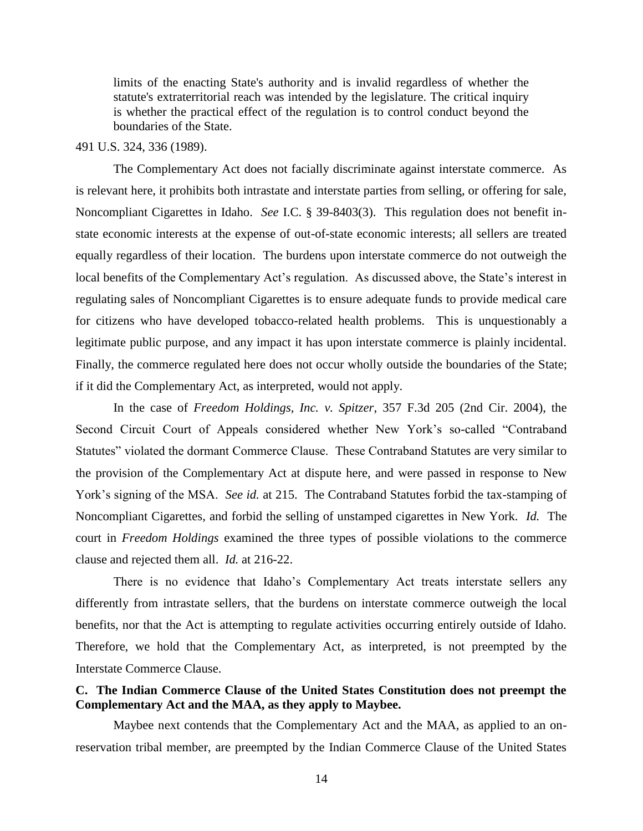limits of the enacting State's authority and is invalid regardless of whether the statute's extraterritorial reach was intended by the legislature. The critical inquiry is whether the practical effect of the regulation is to control conduct beyond the boundaries of the State.

#### 491 U.S. 324, 336 (1989).

The Complementary Act does not facially discriminate against interstate commerce. As is relevant here, it prohibits both intrastate and interstate parties from selling, or offering for sale, Noncompliant Cigarettes in Idaho. *See* I.C. § 39-8403(3). This regulation does not benefit instate economic interests at the expense of out-of-state economic interests; all sellers are treated equally regardless of their location. The burdens upon interstate commerce do not outweigh the local benefits of the Complementary Act's regulation. As discussed above, the State's interest in regulating sales of Noncompliant Cigarettes is to ensure adequate funds to provide medical care for citizens who have developed tobacco-related health problems. This is unquestionably a legitimate public purpose, and any impact it has upon interstate commerce is plainly incidental. Finally, the commerce regulated here does not occur wholly outside the boundaries of the State; if it did the Complementary Act, as interpreted, would not apply.

In the case of *Freedom Holdings, Inc. v. Spitzer*, 357 F.3d 205 (2nd Cir. 2004), the Second Circuit Court of Appeals considered whether New York"s so-called "Contraband Statutes" violated the dormant Commerce Clause. These Contraband Statutes are very similar to the provision of the Complementary Act at dispute here, and were passed in response to New York"s signing of the MSA. *See id.* at 215. The Contraband Statutes forbid the tax-stamping of Noncompliant Cigarettes, and forbid the selling of unstamped cigarettes in New York. *Id.* The court in *Freedom Holdings* examined the three types of possible violations to the commerce clause and rejected them all. *Id.* at 216-22.

There is no evidence that Idaho"s Complementary Act treats interstate sellers any differently from intrastate sellers, that the burdens on interstate commerce outweigh the local benefits, nor that the Act is attempting to regulate activities occurring entirely outside of Idaho. Therefore, we hold that the Complementary Act, as interpreted, is not preempted by the Interstate Commerce Clause.

# **C. The Indian Commerce Clause of the United States Constitution does not preempt the Complementary Act and the MAA, as they apply to Maybee.**

Maybee next contends that the Complementary Act and the MAA, as applied to an onreservation tribal member, are preempted by the Indian Commerce Clause of the United States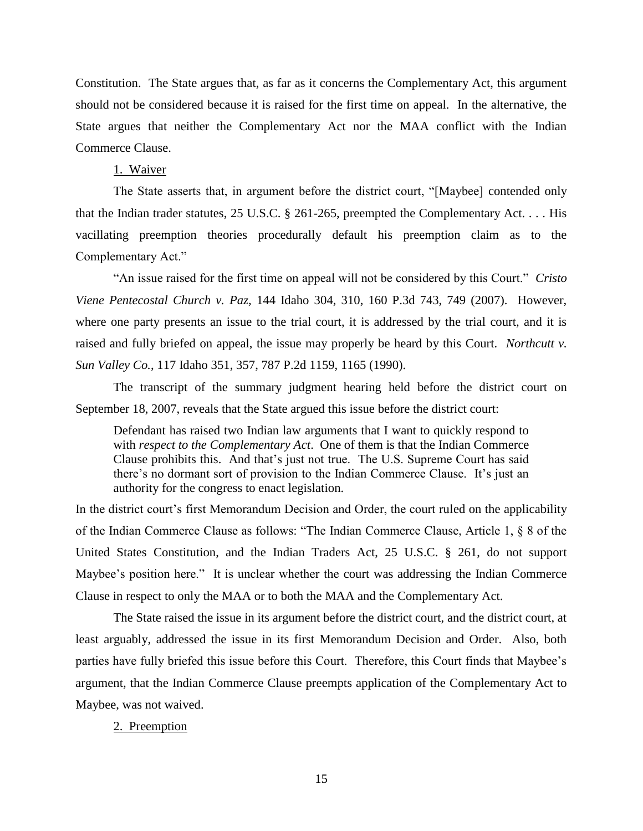Constitution. The State argues that, as far as it concerns the Complementary Act, this argument should not be considered because it is raised for the first time on appeal. In the alternative, the State argues that neither the Complementary Act nor the MAA conflict with the Indian Commerce Clause.

1. Waiver

The State asserts that, in argument before the district court, "[Maybee] contended only that the Indian trader statutes, 25 U.S.C. § 261-265, preempted the Complementary Act. . . . His vacillating preemption theories procedurally default his preemption claim as to the Complementary Act."

"An issue raised for the first time on appeal will not be considered by this Court." *Cristo Viene Pentecostal Church v. Paz,* 144 Idaho 304, 310, 160 P.3d 743, 749 (2007). However, where one party presents an issue to the trial court, it is addressed by the trial court, and it is raised and fully briefed on appeal, the issue may properly be heard by this Court. *Northcutt v. Sun Valley Co.*, 117 Idaho 351, 357, 787 P.2d 1159, 1165 (1990).

The transcript of the summary judgment hearing held before the district court on September 18, 2007, reveals that the State argued this issue before the district court:

Defendant has raised two Indian law arguments that I want to quickly respond to with *respect to the Complementary Act*. One of them is that the Indian Commerce Clause prohibits this. And that"s just not true. The U.S. Supreme Court has said there's no dormant sort of provision to the Indian Commerce Clause. It's just an authority for the congress to enact legislation.

In the district court"s first Memorandum Decision and Order, the court ruled on the applicability of the Indian Commerce Clause as follows: "The Indian Commerce Clause, Article 1, § 8 of the United States Constitution, and the Indian Traders Act, 25 U.S.C. § 261, do not support Maybee's position here." It is unclear whether the court was addressing the Indian Commerce Clause in respect to only the MAA or to both the MAA and the Complementary Act.

The State raised the issue in its argument before the district court, and the district court, at least arguably, addressed the issue in its first Memorandum Decision and Order. Also, both parties have fully briefed this issue before this Court. Therefore, this Court finds that Maybee"s argument, that the Indian Commerce Clause preempts application of the Complementary Act to Maybee, was not waived.

## 2. Preemption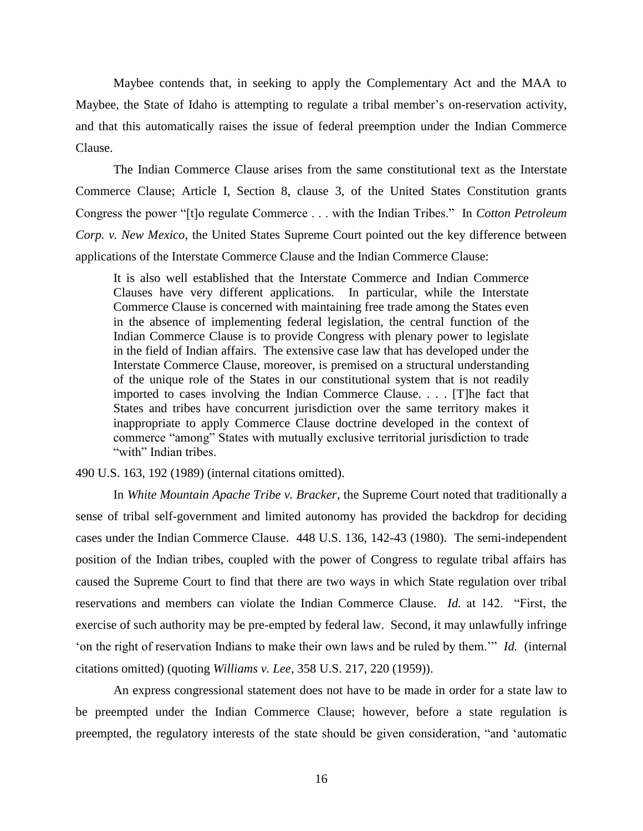Maybee contends that, in seeking to apply the Complementary Act and the MAA to Maybee, the State of Idaho is attempting to regulate a tribal member"s on-reservation activity, and that this automatically raises the issue of federal preemption under the Indian Commerce Clause.

The Indian Commerce Clause arises from the same constitutional text as the Interstate Commerce Clause; Article I, Section 8, clause 3, of the United States Constitution grants Congress the power "[t]o regulate Commerce . . . with the Indian Tribes." In *Cotton Petroleum Corp. v. New Mexico*, the United States Supreme Court pointed out the key difference between applications of the Interstate Commerce Clause and the Indian Commerce Clause:

It is also well established that the Interstate Commerce and Indian Commerce Clauses have very different applications. In particular, while the Interstate Commerce Clause is concerned with maintaining free trade among the States even in the absence of implementing federal legislation, the central function of the Indian Commerce Clause is to provide Congress with plenary power to legislate in the field of Indian affairs. The extensive case law that has developed under the Interstate Commerce Clause, moreover, is premised on a structural understanding of the unique role of the States in our constitutional system that is not readily imported to cases involving the Indian Commerce Clause. . . . [T]he fact that States and tribes have concurrent jurisdiction over the same territory makes it inappropriate to apply Commerce Clause doctrine developed in the context of commerce "among" States with mutually exclusive territorial jurisdiction to trade "with" Indian tribes.

### 490 U.S. 163, 192 (1989) (internal citations omitted).

In *White Mountain Apache Tribe v. Bracker*, the Supreme Court noted that traditionally a sense of tribal self-government and limited autonomy has provided the backdrop for deciding cases under the Indian Commerce Clause. 448 U.S. 136, 142-43 (1980). The semi-independent position of the Indian tribes, coupled with the power of Congress to regulate tribal affairs has caused the Supreme Court to find that there are two ways in which State regulation over tribal reservations and members can violate the Indian Commerce Clause. *Id.* at 142. "First, the exercise of such authority may be pre-empted by federal law. Second, it may unlawfully infringe "on the right of reservation Indians to make their own laws and be ruled by them."" *Id.* (internal citations omitted) (quoting *Williams v. Lee*, 358 U.S. 217, 220 (1959)).

An express congressional statement does not have to be made in order for a state law to be preempted under the Indian Commerce Clause; however, before a state regulation is preempted, the regulatory interests of the state should be given consideration, "and "automatic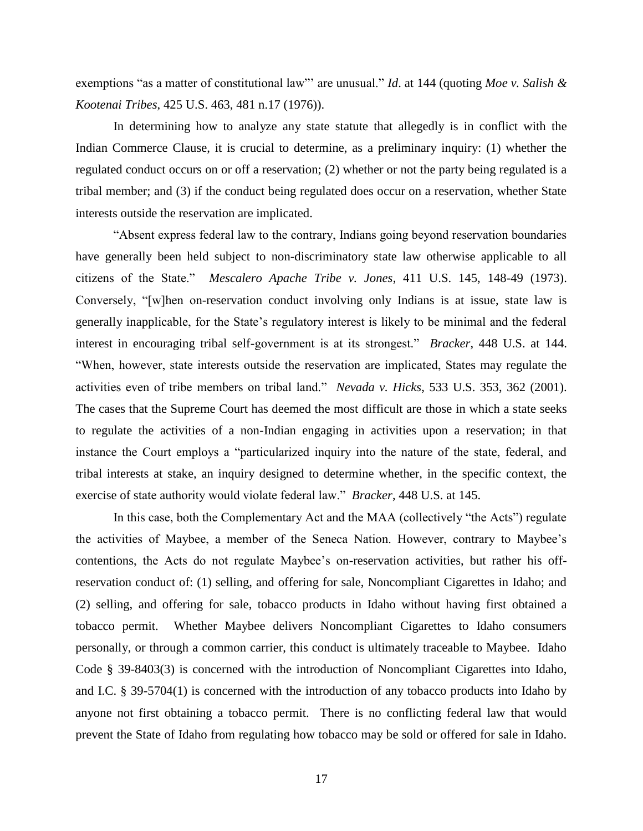exemptions "as a matter of constitutional law"" are unusual." *Id*. at 144 (quoting *Moe v. Salish & Kootenai Tribes*, 425 U.S. 463, 481 n.17 (1976)).

In determining how to analyze any state statute that allegedly is in conflict with the Indian Commerce Clause, it is crucial to determine, as a preliminary inquiry: (1) whether the regulated conduct occurs on or off a reservation; (2) whether or not the party being regulated is a tribal member; and (3) if the conduct being regulated does occur on a reservation, whether State interests outside the reservation are implicated.

"Absent express federal law to the contrary, Indians going beyond reservation boundaries have generally been held subject to non-discriminatory state law otherwise applicable to all citizens of the State." *Mescalero Apache Tribe v. Jones*, 411 U.S. 145, 148-49 (1973). Conversely, "[w]hen on-reservation conduct involving only Indians is at issue, state law is generally inapplicable, for the State's regulatory interest is likely to be minimal and the federal interest in encouraging tribal self-government is at its strongest." *Bracker*, 448 U.S. at 144. "When, however, state interests outside the reservation are implicated, States may regulate the activities even of tribe members on tribal land." *Nevada v. Hicks*, 533 U.S. 353, 362 (2001). The cases that the Supreme Court has deemed the most difficult are those in which a state seeks to regulate the activities of a non-Indian engaging in activities upon a reservation; in that instance the Court employs a "particularized inquiry into the nature of the state, federal, and tribal interests at stake, an inquiry designed to determine whether, in the specific context, the exercise of state authority would violate federal law." *Bracker*, 448 U.S. at 145.

In this case, both the Complementary Act and the MAA (collectively "the Acts") regulate the activities of Maybee, a member of the Seneca Nation. However, contrary to Maybee"s contentions, the Acts do not regulate Maybee"s on-reservation activities, but rather his offreservation conduct of: (1) selling, and offering for sale, Noncompliant Cigarettes in Idaho; and (2) selling, and offering for sale, tobacco products in Idaho without having first obtained a tobacco permit. Whether Maybee delivers Noncompliant Cigarettes to Idaho consumers personally, or through a common carrier, this conduct is ultimately traceable to Maybee. Idaho Code § 39-8403(3) is concerned with the introduction of Noncompliant Cigarettes into Idaho, and I.C. § 39-5704(1) is concerned with the introduction of any tobacco products into Idaho by anyone not first obtaining a tobacco permit. There is no conflicting federal law that would prevent the State of Idaho from regulating how tobacco may be sold or offered for sale in Idaho.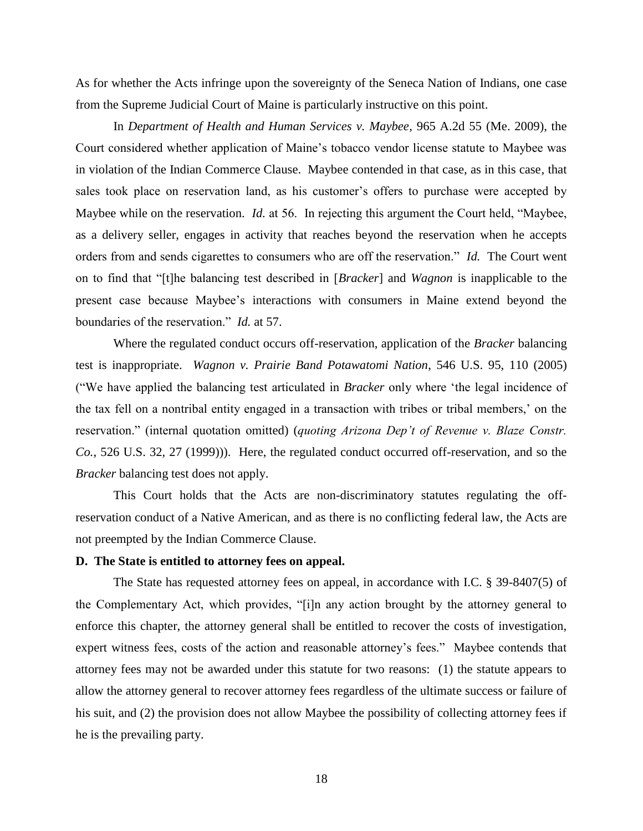As for whether the Acts infringe upon the sovereignty of the Seneca Nation of Indians, one case from the Supreme Judicial Court of Maine is particularly instructive on this point.

In *Department of Health and Human Services v. Maybee*, 965 A.2d 55 (Me. 2009), the Court considered whether application of Maine"s tobacco vendor license statute to Maybee was in violation of the Indian Commerce Clause. Maybee contended in that case, as in this case, that sales took place on reservation land, as his customer"s offers to purchase were accepted by Maybee while on the reservation. *Id.* at 56. In rejecting this argument the Court held, "Maybee, as a delivery seller, engages in activity that reaches beyond the reservation when he accepts orders from and sends cigarettes to consumers who are off the reservation." *Id.* The Court went on to find that "[t]he balancing test described in [*Bracker*] and *Wagnon* is inapplicable to the present case because Maybee"s interactions with consumers in Maine extend beyond the boundaries of the reservation." *Id.* at 57.

Where the regulated conduct occurs off-reservation, application of the *Bracker* balancing test is inappropriate. *Wagnon v. Prairie Band Potawatomi Nation*, 546 U.S. 95, 110 (2005) ("We have applied the balancing test articulated in *Bracker* only where "the legal incidence of the tax fell on a nontribal entity engaged in a transaction with tribes or tribal members," on the reservation." (internal quotation omitted) (*quoting Arizona Dep't of Revenue v. Blaze Constr. Co.*, 526 U.S. 32, 27 (1999))). Here, the regulated conduct occurred off-reservation, and so the *Bracker* balancing test does not apply.

This Court holds that the Acts are non-discriminatory statutes regulating the offreservation conduct of a Native American, and as there is no conflicting federal law, the Acts are not preempted by the Indian Commerce Clause.

## **D. The State is entitled to attorney fees on appeal.**

The State has requested attorney fees on appeal, in accordance with I.C. § 39-8407(5) of the Complementary Act, which provides, "[i]n any action brought by the attorney general to enforce this chapter, the attorney general shall be entitled to recover the costs of investigation, expert witness fees, costs of the action and reasonable attorney's fees." Maybee contends that attorney fees may not be awarded under this statute for two reasons: (1) the statute appears to allow the attorney general to recover attorney fees regardless of the ultimate success or failure of his suit, and (2) the provision does not allow Maybee the possibility of collecting attorney fees if he is the prevailing party.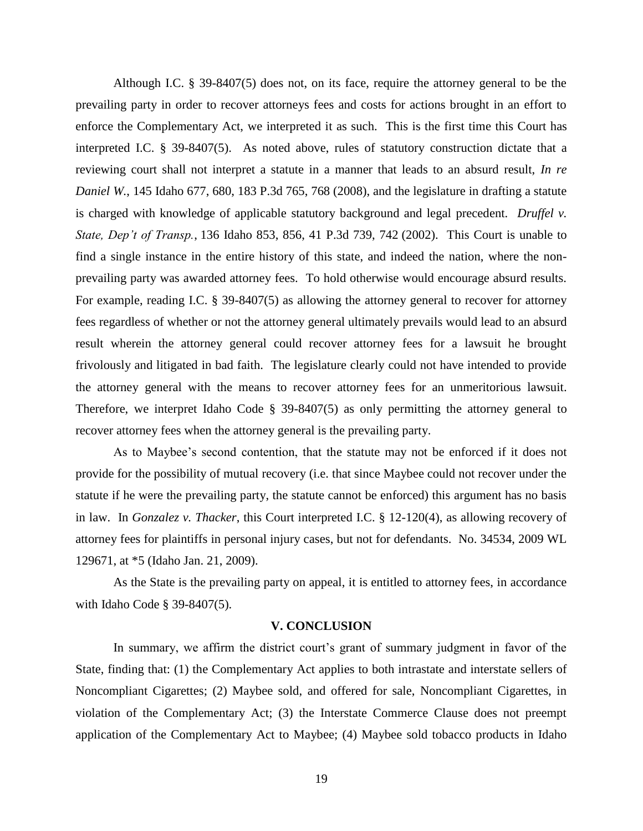Although I.C. § 39-8407(5) does not, on its face, require the attorney general to be the prevailing party in order to recover attorneys fees and costs for actions brought in an effort to enforce the Complementary Act, we interpreted it as such. This is the first time this Court has interpreted I.C. § 39-8407(5). As noted above, rules of statutory construction dictate that a reviewing court shall not interpret a statute in a manner that leads to an absurd result, *In re Daniel W.*, 145 Idaho 677, 680, 183 P.3d 765, 768 (2008), and the legislature in drafting a statute is charged with knowledge of applicable statutory background and legal precedent. *Druffel v. State, Dep't of Transp.*, 136 Idaho 853, 856, 41 P.3d 739, 742 (2002). This Court is unable to find a single instance in the entire history of this state, and indeed the nation, where the nonprevailing party was awarded attorney fees. To hold otherwise would encourage absurd results. For example, reading I.C. § 39-8407(5) as allowing the attorney general to recover for attorney fees regardless of whether or not the attorney general ultimately prevails would lead to an absurd result wherein the attorney general could recover attorney fees for a lawsuit he brought frivolously and litigated in bad faith. The legislature clearly could not have intended to provide the attorney general with the means to recover attorney fees for an unmeritorious lawsuit. Therefore, we interpret Idaho Code § 39-8407(5) as only permitting the attorney general to recover attorney fees when the attorney general is the prevailing party.

As to Maybee's second contention, that the statute may not be enforced if it does not provide for the possibility of mutual recovery (i.e. that since Maybee could not recover under the statute if he were the prevailing party, the statute cannot be enforced) this argument has no basis in law. In *Gonzalez v. Thacker*, this Court interpreted I.C. § 12-120(4), as allowing recovery of attorney fees for plaintiffs in personal injury cases, but not for defendants. No. 34534, 2009 WL 129671, at \*5 (Idaho Jan. 21, 2009).

As the State is the prevailing party on appeal, it is entitled to attorney fees, in accordance with Idaho Code § 39-8407(5).

### **V. CONCLUSION**

In summary, we affirm the district court's grant of summary judgment in favor of the State, finding that: (1) the Complementary Act applies to both intrastate and interstate sellers of Noncompliant Cigarettes; (2) Maybee sold, and offered for sale, Noncompliant Cigarettes, in violation of the Complementary Act; (3) the Interstate Commerce Clause does not preempt application of the Complementary Act to Maybee; (4) Maybee sold tobacco products in Idaho